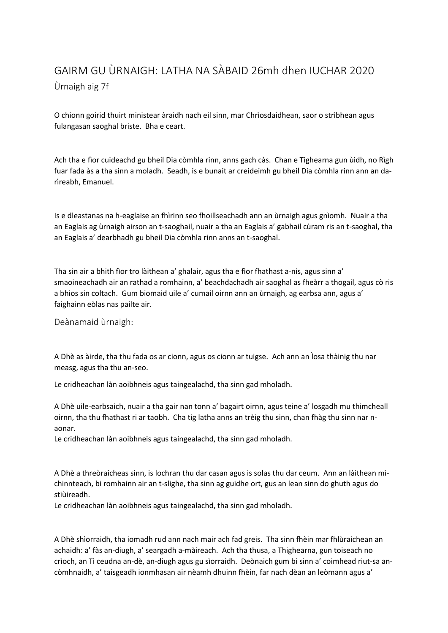## GAIRM GU ÙRNAIGH: LATHA NA SÀBAID 26mh dhen IUCHAR 2020 Ùrnaigh aig 7f

O chionn goirid thuirt ministear àraidh nach eil sinn, mar Chrìosdaidhean, saor o strìbhean agus fulangasan saoghal briste. Bha e ceart.

Ach tha e fìor cuideachd gu bheil Dia còmhla rinn, anns gach càs. Chan e Tighearna gun ùidh, no Rìgh fuar fada às a tha sinn a moladh. Seadh, is e bunait ar creideimh gu bheil Dia còmhla rinn ann an darìreabh, Emanuel.

Is e dleastanas na h-eaglaise an fhìrinn seo fhoillseachadh ann an ùrnaigh agus gnìomh. Nuair a tha an Eaglais ag ùrnaigh airson an t-saoghail, nuair a tha an Eaglais a' gabhail cùram ris an t-saoghal, tha an Eaglais a' dearbhadh gu bheil Dia còmhla rinn anns an t-saoghal.

Tha sin air a bhith fìor tro làithean a' ghalair, agus tha e fìor fhathast a-nis, agus sinn a' smaoineachadh air an rathad a romhainn, a' beachdachadh air saoghal as fheàrr a thogail, agus cò ris a bhios sin coltach. Gum biomaid uile a' cumail oirnn ann an ùrnaigh, ag earbsa ann, agus a' faighainn eòlas nas pailte air.

Deànamaid ùrnaigh:

A Dhè as àirde, tha thu fada os ar cionn, agus os cionn ar tuigse. Ach ann an Ìosa thàinig thu nar measg, agus tha thu an-seo.

Le cridheachan làn aoibhneis agus taingealachd, tha sinn gad mholadh.

A Dhè uile-earbsaich, nuair a tha gair nan tonn a' bagairt oirnn, agus teine a' losgadh mu thimcheall oirnn, tha thu fhathast ri ar taobh. Cha tig latha anns an trèig thu sinn, chan fhàg thu sinn nar naonar.

Le cridheachan làn aoibhneis agus taingealachd, tha sinn gad mholadh.

A Dhè a threòraicheas sinn, is lochran thu dar casan agus is solas thu dar ceum. Ann an làithean mìchinnteach, bi romhainn air an t-slighe, tha sinn ag guidhe ort, gus an lean sinn do ghuth agus do stiùireadh.

Le cridheachan làn aoibhneis agus taingealachd, tha sinn gad mholadh.

A Dhè shìorraidh, tha iomadh rud ann nach mair ach fad greis. Tha sinn fhèin mar fhlùraichean an achaidh: a' fàs an-diugh, a' seargadh a-màireach. Ach tha thusa, a Thighearna, gun toiseach no crìoch, an Tì ceudna an-dè, an-diugh agus gu sìorraidh. Deònaich gum bi sinn a' coimhead riut-sa ancòmhnaidh, a' taisgeadh ionmhasan air nèamh dhuinn fhèin, far nach dèan an leòmann agus a'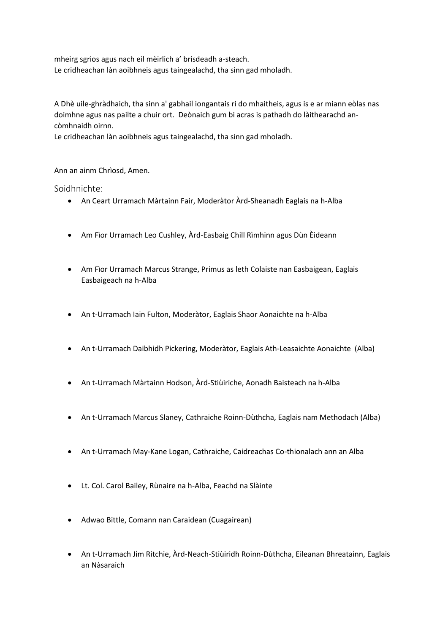mheirg sgrios agus nach eil mèirlich a' brisdeadh a-steach. Le cridheachan làn aoibhneis agus taingealachd, tha sinn gad mholadh.

A Dhè uile-ghràdhaich, tha sinn a' gabhail iongantais ri do mhaitheis, agus is e ar miann eòlas nas doimhne agus nas pailte a chuir ort. Deònaich gum bi acras is pathadh do làithearachd ancòmhnaidh oirnn.

Le cridheachan làn aoibhneis agus taingealachd, tha sinn gad mholadh.

Ann an ainm Chrìosd, Amen.

Soidhnichte:

- An Ceart Urramach Màrtainn Fair, Moderàtor Àrd-Sheanadh Eaglais na h-Alba
- Am Fìor Urramach Leo Cushley, Àrd-Easbaig Chill Rìmhinn agus Dùn Èideann
- Am Fìor Urramach Marcus Strange, Primus as leth Colaiste nan Easbaigean, Eaglais Easbaigeach na h-Alba
- An t-Urramach Iain Fulton, Moderàtor, Eaglais Shaor Aonaichte na h-Alba
- An t-Urramach Daibhidh Pickering, Moderàtor, Eaglais Ath-Leasaichte Aonaichte (Alba)
- An t-Urramach Màrtainn Hodson, Àrd-Stiùiriche, Aonadh Baisteach na h-Alba
- An t-Urramach Marcus Slaney, Cathraiche Roinn-Dùthcha, Eaglais nam Methodach (Alba)
- An t-Urramach May-Kane Logan, Cathraiche, Caidreachas Co-thionalach ann an Alba
- Lt. Col. Carol Bailey, Rùnaire na h-Alba, Feachd na Slàinte
- Adwao Bittle, Comann nan Caraidean (Cuagairean)
- An t-Urramach Jim Ritchie, Àrd-Neach-Stiùiridh Roinn-Dùthcha, Eileanan Bhreatainn, Eaglais an Nàsaraich